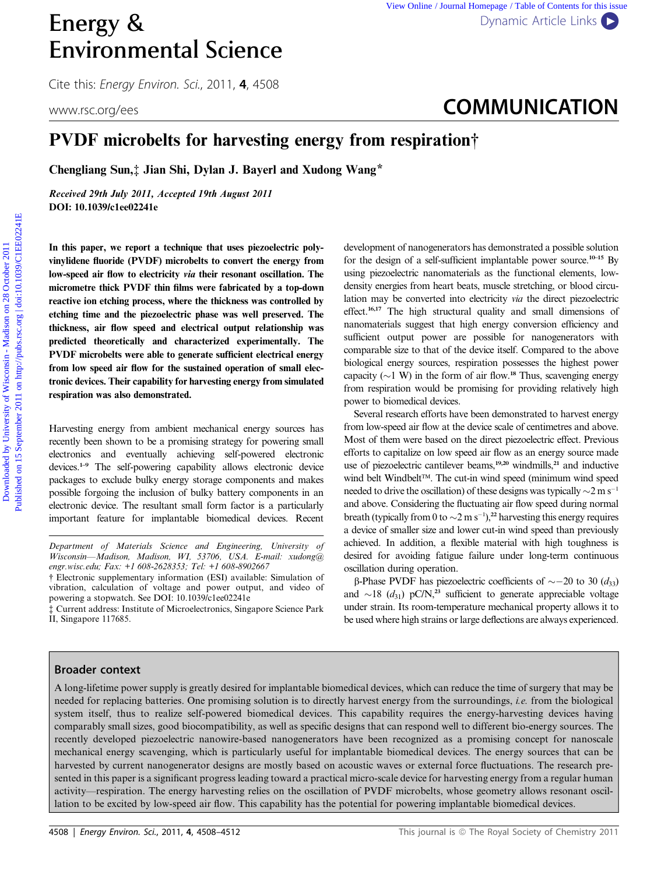# Energy & [Dynamic Article Links](http://dx.doi.org/10.1039/c1ee02241e) Environmental Science

Cite this: Energy Environ. Sci., 2011, <sup>4</sup>, 4508

## www.rsc.org/ees **COMMUNICATION**

### PVDF microbelts for harvesting energy from respiration†

Chengliang Sun,‡ Jian Shi, Dylan J. Bayerl and Xudong Wang\*

Received 29th July 2011, Accepted 19th August 2011 DOI: 10.1039/c1ee02241e

In this paper, we report a technique that uses piezoelectric polyvinylidene fluoride (PVDF) microbelts to convert the energy from low-speed air flow to electricity via their resonant oscillation. The micrometre thick PVDF thin films were fabricated by a top-down reactive ion etching process, where the thickness was controlled by etching time and the piezoelectric phase was well preserved. The thickness, air flow speed and electrical output relationship was predicted theoretically and characterized experimentally. The PVDF microbelts were able to generate sufficient electrical energy from low speed air flow for the sustained operation of small electronic devices. Their capability for harvesting energy from simulated respiration was also demonstrated.

Harvesting energy from ambient mechanical energy sources has recently been shown to be a promising strategy for powering small electronics and eventually achieving self-powered electronic devices.1–9 The self-powering capability allows electronic device packages to exclude bulky energy storage components and makes possible forgoing the inclusion of bulky battery components in an electronic device. The resultant small form factor is a particularly important feature for implantable biomedical devices. Recent

† Electronic supplementary information (ESI) available: Simulation of vibration, calculation of voltage and power output, and video of powering a stopwatch. See DOI: 10.1039/c1ee02241e

‡ Current address: Institute of Microelectronics, Singapore Science Park II, Singapore 117685.

development of nanogenerators has demonstrated a possible solution for the design of a self-sufficient implantable power source.<sup>10–15</sup> By using piezoelectric nanomaterials as the functional elements, lowdensity energies from heart beats, muscle stretching, or blood circulation may be converted into electricity via the direct piezoelectric effect.16,17 The high structural quality and small dimensions of nanomaterials suggest that high energy conversion efficiency and sufficient output power are possible for nanogenerators with comparable size to that of the device itself. Compared to the above biological energy sources, respiration possesses the highest power capacity ( $\sim$ 1 W) in the form of air flow.<sup>18</sup> Thus, scavenging energy from respiration would be promising for providing relatively high power to biomedical devices. **Energy &**<br> **Environmental Science**<br>
COMMUNICATION<br>
UNIFORMENTIC COMMUNICATION<br>
UNIFORMENTIC COMMUNICATION<br>
UNIFORMENTIC COMMUNICATION<br>
PVDF microbelts for harvesting energy from respiration†<br>
COMMUNICATION<br>
DEVIET interd

Several research efforts have been demonstrated to harvest energy from low-speed air flow at the device scale of centimetres and above. Most of them were based on the direct piezoelectric effect. Previous efforts to capitalize on low speed air flow as an energy source made use of piezoelectric cantilever beams,<sup>19,20</sup> windmills,<sup>21</sup> and inductive wind belt Windbelt<sup>™</sup>. The cut-in wind speed (minimum wind speed needed to drive the oscillation) of these designs was typically  $\sim$ 2 m s<sup>-1</sup> and above. Considering the fluctuating air flow speed during normal breath (typically from 0 to  $\sim$  2 m s<sup>-1</sup>),<sup>22</sup> harvesting this energy requires a device of smaller size and lower cut-in wind speed than previously achieved. In addition, a flexible material with high toughness is desired for avoiding fatigue failure under long-term continuous oscillation during operation.

β-Phase PVDF has piezoelectric coefficients of  $\sim$  -20 to 30 (d<sub>33</sub>) and  $\sim$ 18 (d<sub>31</sub>) pC/N,<sup>23</sup> sufficient to generate appreciable voltage under strain. Its room-temperature mechanical property allows it to be used where high strains or large deflections are always experienced.

#### Broader context

A long-lifetime power supply is greatly desired for implantable biomedical devices, which can reduce the time of surgery that may be needed for replacing batteries. One promising solution is to directly harvest energy from the surroundings, i.e. from the biological system itself, thus to realize self-powered biomedical devices. This capability requires the energy-harvesting devices having comparably small sizes, good biocompatibility, as well as specific designs that can respond well to different bio-energy sources. The recently developed piezoelectric nanowire-based nanogenerators have been recognized as a promising concept for nanoscale mechanical energy scavenging, which is particularly useful for implantable biomedical devices. The energy sources that can be harvested by current nanogenerator designs are mostly based on acoustic waves or external force fluctuations. The research presented in this paper is a significant progress leading toward a practical micro-scale device for harvesting energy from a regular human activity—respiration. The energy harvesting relies on the oscillation of PVDF microbelts, whose geometry allows resonant oscillation to be excited by low-speed air flow. This capability has the potential for powering implantable biomedical devices.

Department of Materials Science and Engineering, University of Wisconsin—Madison, Madison, WI, 53706, USA. E-mail: xudong@ engr.wisc.edu; Fax: +1 608-2628353; Tel: +1 608-8902667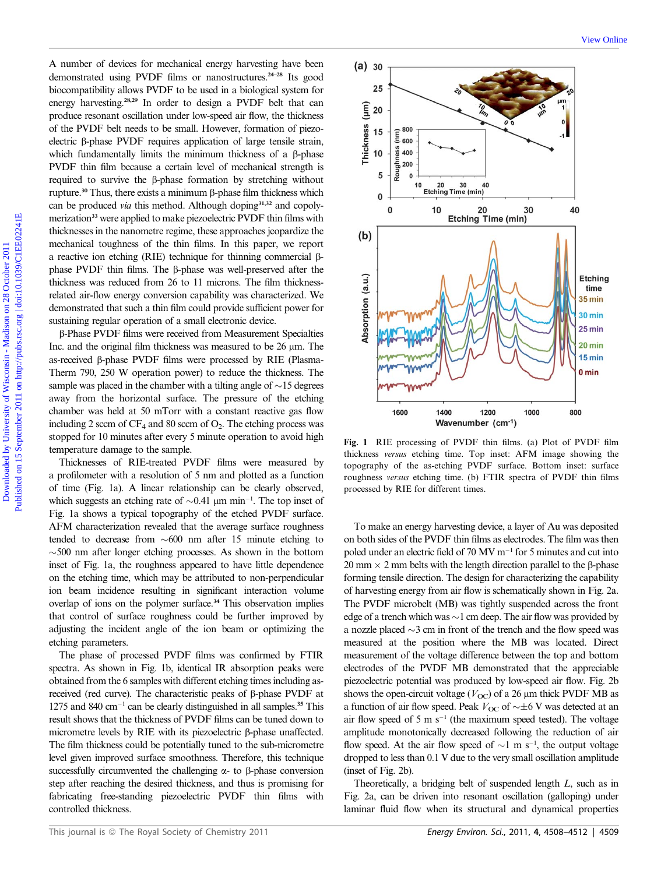A number of devices for mechanical energy harvesting have been demonstrated using PVDF films or nanostructures.<sup>24-28</sup> Its good biocompatibility allows PVDF to be used in a biological system for energy harvesting.28,29 In order to design a PVDF belt that can produce resonant oscillation under low-speed air flow, the thickness of the PVDF belt needs to be small. However, formation of piezoelectric  $\beta$ -phase PVDF requires application of large tensile strain, which fundamentally limits the minimum thickness of a B-phase PVDF thin film because a certain level of mechanical strength is required to survive the b-phase formation by stretching without rupture.<sup>30</sup> Thus, there exists a minimum  $\beta$ -phase film thickness which can be produced via this method. Although doping<sup>31,32</sup> and copolymerization<sup>33</sup> were applied to make piezoelectric PVDF thin films with thicknesses in the nanometre regime, these approaches jeopardize the mechanical toughness of the thin films. In this paper, we report a reactive ion etching (RIE) technique for thinning commercial  $\beta$ phase PVDF thin films. The B-phase was well-preserved after the thickness was reduced from 26 to 11 microns. The film thicknessrelated air-flow energy conversion capability was characterized. We demonstrated that such a thin film could provide sufficient power for sustaining regular operation of a small electronic device.

b-Phase PVDF films were received from Measurement Specialties Inc. and the original film thickness was measured to be  $26 \mu m$ . The as-received  $\beta$ -phase PVDF films were processed by RIE (Plasma-Therm 790, 250 W operation power) to reduce the thickness. The sample was placed in the chamber with a tilting angle of  $\sim$  15 degrees away from the horizontal surface. The pressure of the etching chamber was held at 50 mTorr with a constant reactive gas flow including 2 sccm of  $CF_4$  and 80 sccm of  $O_2$ . The etching process was stopped for 10 minutes after every 5 minute operation to avoid high temperature damage to the sample.

Thicknesses of RIE-treated PVDF films were measured by a profilometer with a resolution of 5 nm and plotted as a function of time (Fig. 1a). A linear relationship can be clearly observed, which suggests an etching rate of  $\sim 0.41 \mu m \text{ min}^{-1}$ . The top inset of Fig. 1a shows a typical topography of the etched PVDF surface. AFM characterization revealed that the average surface roughness tended to decrease from  $\sim 600$  nm after 15 minute etching to  $\sim$  500 nm after longer etching processes. As shown in the bottom inset of Fig. 1a, the roughness appeared to have little dependence on the etching time, which may be attributed to non-perpendicular ion beam incidence resulting in significant interaction volume overlap of ions on the polymer surface.<sup>34</sup> This observation implies that control of surface roughness could be further improved by adjusting the incident angle of the ion beam or optimizing the etching parameters.

The phase of processed PVDF films was confirmed by FTIR spectra. As shown in Fig. 1b, identical IR absorption peaks were obtained from the 6 samples with different etching times including asreceived (red curve). The characteristic peaks of  $\beta$ -phase PVDF at 1275 and 840 cm<sup>-1</sup> can be clearly distinguished in all samples.<sup>35</sup> This result shows that the thickness of PVDF films can be tuned down to micrometre levels by RIE with its piezoelectric  $\beta$ -phase unaffected. The film thickness could be potentially tuned to the sub-micrometre level given improved surface smoothness. Therefore, this technique successfully circumvented the challenging  $\alpha$ - to  $\beta$ -phase conversion step after reaching the desired thickness, and thus is promising for fabricating free-standing piezoelectric PVDF thin films with controlled thickness.



Fig. 1 RIE processing of PVDF thin films. (a) Plot of PVDF film thickness versus etching time. Top inset: AFM image showing the topography of the as-etching PVDF surface. Bottom inset: surface roughness versus etching time. (b) FTIR spectra of PVDF thin films processed by RIE for different times.

To make an energy harvesting device, a layer of Au was deposited on both sides of the PVDF thin films as electrodes. The film was then poled under an electric field of 70 MV  $m^{-1}$  for 5 minutes and cut into  $20 \text{ mm} \times 2 \text{ mm}$  belts with the length direction parallel to the  $\beta$ -phase forming tensile direction. The design for characterizing the capability of harvesting energy from air flow is schematically shown in Fig. 2a. The PVDF microbelt (MB) was tightly suspended across the front edge of a trench which was  $\sim$ 1 cm deep. The air flow was provided by a nozzle placed  $\sim$ 3 cm in front of the trench and the flow speed was measured at the position where the MB was located. Direct measurement of the voltage difference between the top and bottom electrodes of the PVDF MB demonstrated that the appreciable piezoelectric potential was produced by low-speed air flow. Fig. 2b shows the open-circuit voltage ( $V_{\text{OC}}$ ) of a 26  $\mu$ m thick PVDF MB as a function of air flow speed. Peak  $V_{\text{OC}}$  of  $\sim \pm 6$  V was detected at an air flow speed of 5 m  $s^{-1}$  (the maximum speed tested). The voltage amplitude monotonically decreased following the reduction of air flow speed. At the air flow speed of  $\sim$ 1 m s<sup>-1</sup>, the output voltage dropped to less than 0.1 V due to the very small oscillation amplitude (inset of Fig. 2b).

Theoretically, a bridging belt of suspended length L, such as in Fig. 2a, can be driven into resonant oscillation (galloping) under laminar fluid flow when its structural and dynamical properties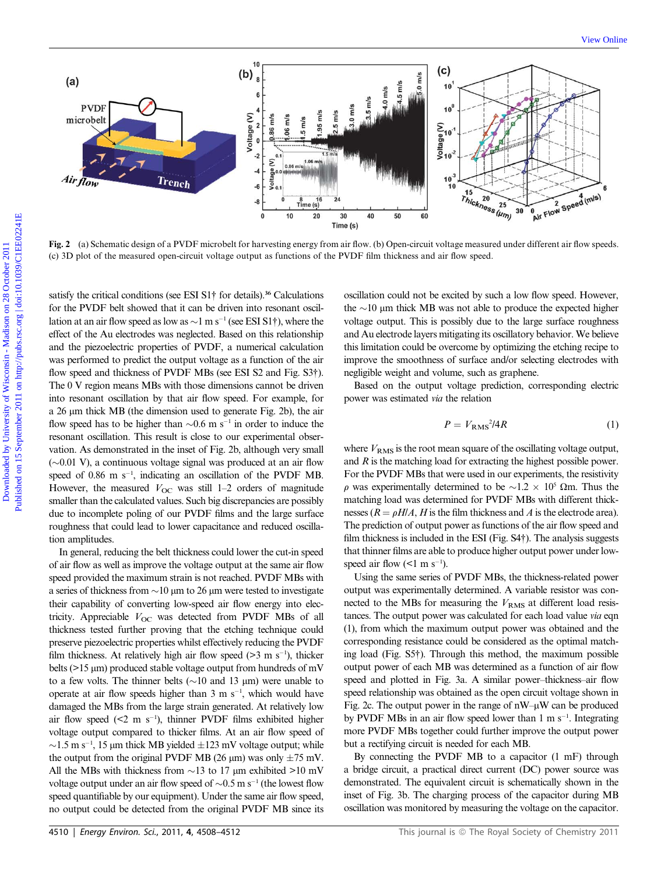

Fig. 2 (a) Schematic design of a PVDF microbelt for harvesting energy from air flow. (b) Open-circuit voltage measured under different air flow speeds. (c) 3D plot of the measured open-circuit voltage output as functions of the PVDF film thickness and air flow speed.

satisfy the critical conditions (see ESI S1<sup>†</sup> for details).<sup>36</sup> Calculations for the PVDF belt showed that it can be driven into resonant oscillation at an air flow speed as low as  $\sim$ 1 m s<sup>-1</sup> (see ESI S1†), where the effect of the Au electrodes was neglected. Based on this relationship and the piezoelectric properties of PVDF, a numerical calculation was performed to predict the output voltage as a function of the air flow speed and thickness of PVDF MBs (see ESI S2 and Fig. S3†). The 0 V region means MBs with those dimensions cannot be driven into resonant oscillation by that air flow speed. For example, for a 26 um thick MB (the dimension used to generate Fig. 2b), the air flow speed has to be higher than  $\sim 0.6$  m s<sup>-1</sup> in order to induce the resonant oscillation. This result is close to our experimental observation. As demonstrated in the inset of Fig. 2b, although very small  $(\sim 0.01 \text{ V})$ , a continuous voltage signal was produced at an air flow speed of  $0.86$  m s<sup>-1</sup>, indicating an oscillation of the PVDF MB. However, the measured  $V_{\text{OC}}$  was still 1–2 orders of magnitude smaller than the calculated values. Such big discrepancies are possibly due to incomplete poling of our PVDF films and the large surface roughness that could lead to lower capacitance and reduced oscillation amplitudes.

In general, reducing the belt thickness could lower the cut-in speed of air flow as well as improve the voltage output at the same air flow speed provided the maximum strain is not reached. PVDF MBs with a series of thickness from  $\sim$ 10  $\mu$ m to 26  $\mu$ m were tested to investigate their capability of converting low-speed air flow energy into electricity. Appreciable  $V_{\text{OC}}$  was detected from PVDF MBs of all thickness tested further proving that the etching technique could preserve piezoelectric properties whilst effectively reducing the PVDF film thickness. At relatively high air flow speed  $(>= 3 \text{ m s}^{-1})$ , thicker belts ( $>15 \mu m$ ) produced stable voltage output from hundreds of mV to a few volts. The thinner belts ( $\sim$ 10 and 13  $\mu$ m) were unable to operate at air flow speeds higher than  $3 \text{ m s}^{-1}$ , which would have damaged the MBs from the large strain generated. At relatively low air flow speed  $( $2 \text{ m s}^{-1}$ ), thinner PVDF films exhibited higher$ voltage output compared to thicker films. At an air flow speed of  $\sim$ 1.5 m s<sup>-1</sup>, 15 µm thick MB yielded  $\pm$ 123 mV voltage output; while the output from the original PVDF MB (26  $\mu$ m) was only  $\pm$ 75 mV. All the MBs with thickness from  $\sim$ 13 to 17 µm exhibited >10 mV voltage output under an air flow speed of  $\sim 0.5$  m s<sup>-1</sup> (the lowest flow speed quantifiable by our equipment). Under the same air flow speed, no output could be detected from the original PVDF MB since its

oscillation could not be excited by such a low flow speed. However, the  $\sim$ 10 µm thick MB was not able to produce the expected higher voltage output. This is possibly due to the large surface roughness and Au electrode layers mitigating its oscillatory behavior. We believe this limitation could be overcome by optimizing the etching recipe to improve the smoothness of surface and/or selecting electrodes with negligible weight and volume, such as graphene.

Based on the output voltage prediction, corresponding electric power was estimated via the relation

$$
P = V_{\rm RMS}{}^{2}/4R\tag{1}
$$

where  $V_{RMS}$  is the root mean square of the oscillating voltage output, and  $R$  is the matching load for extracting the highest possible power. For the PVDF MBs that were used in our experiments, the resistivity  $\rho$  was experimentally determined to be  $\sim 1.2 \times 10^5$  Qm. Thus the matching load was determined for PVDF MBs with different thicknesses ( $R = \rho H/A$ , H is the film thickness and A is the electrode area). The prediction of output power as functions of the air flow speed and film thickness is included in the ESI (Fig. S4†). The analysis suggests that thinner films are able to produce higher output power under lowspeed air flow  $(<1 \text{ m s}^{-1})$ .

Using the same series of PVDF MBs, the thickness-related power output was experimentally determined. A variable resistor was connected to the MBs for measuring the  $V_{RMS}$  at different load resistances. The output power was calculated for each load value via eqn (1), from which the maximum output power was obtained and the corresponding resistance could be considered as the optimal matching load (Fig. S5†). Through this method, the maximum possible output power of each MB was determined as a function of air flow speed and plotted in Fig. 3a. A similar power–thickness–air flow speed relationship was obtained as the open circuit voltage shown in Fig. 2c. The output power in the range of  $nW-\mu W$  can be produced by PVDF MBs in an air flow speed lower than  $1 \text{ m s}^{-1}$ . Integrating more PVDF MBs together could further improve the output power but a rectifying circuit is needed for each MB.

By connecting the PVDF MB to a capacitor (1 mF) through a bridge circuit, a practical direct current (DC) power source was demonstrated. The equivalent circuit is schematically shown in the inset of Fig. 3b. The charging process of the capacitor during MB oscillation was monitored by measuring the voltage on the capacitor.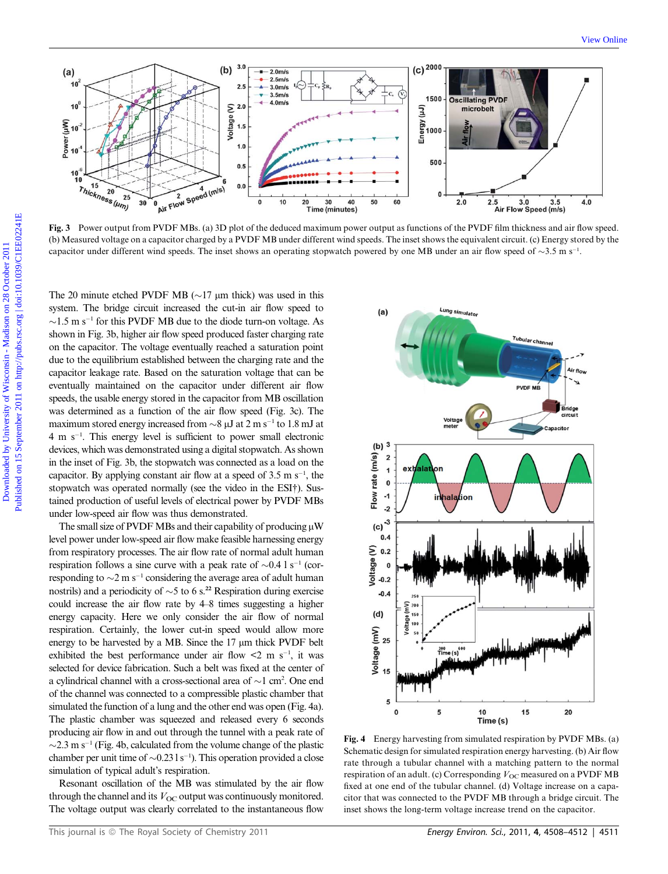

Fig. 3 Power output from PVDF MBs. (a) 3D plot of the deduced maximum power output as functions of the PVDF film thickness and air flow speed. (b) Measured voltage on a capacitor charged by a PVDF MB under different wind speeds. The inset shows the equivalent circuit. (c) Energy stored by the capacitor under different wind speeds. The inset shows an operating stopwatch powered by one MB under an air flow speed of  $\sim$ 3.5 m s<sup>-1</sup>.

The 20 minute etched PVDF MB ( $\sim$ 17 µm thick) was used in this system. The bridge circuit increased the cut-in air flow speed to  $\sim$ 1.5 m s<sup>-1</sup> for this PVDF MB due to the diode turn-on voltage. As shown in Fig. 3b, higher air flow speed produced faster charging rate on the capacitor. The voltage eventually reached a saturation point due to the equilibrium established between the charging rate and the capacitor leakage rate. Based on the saturation voltage that can be eventually maintained on the capacitor under different air flow speeds, the usable energy stored in the capacitor from MB oscillation was determined as a function of the air flow speed (Fig. 3c). The maximum stored energy increased from  $\sim$ 8  $\mu$ J at 2 m s<sup>-1</sup> to 1.8 mJ at 4ms<sup>1</sup> . This energy level is sufficient to power small electronic devices, which was demonstrated using a digital stopwatch. As shown in the inset of Fig. 3b, the stopwatch was connected as a load on the capacitor. By applying constant air flow at a speed of  $3.5 \text{ m s}^{-1}$ , the stopwatch was operated normally (see the video in the ESI†). Sustained production of useful levels of electrical power by PVDF MBs under low-speed air flow was thus demonstrated.

The small size of PVDF MBs and their capability of producing  $\mu$ W level power under low-speed air flow make feasible harnessing energy from respiratory processes. The air flow rate of normal adult human respiration follows a sine curve with a peak rate of  $\sim 0.4$  l s<sup>-1</sup> (corresponding to  $\sim$ 2 m s<sup>-1</sup> considering the average area of adult human nostrils) and a periodicity of  $\sim$ 5 to 6 s.<sup>22</sup> Respiration during exercise could increase the air flow rate by 4–8 times suggesting a higher energy capacity. Here we only consider the air flow of normal respiration. Certainly, the lower cut-in speed would allow more energy to be harvested by a MB. Since the  $17 \mu m$  thick PVDF belt exhibited the best performance under air flow  $\leq 2$  m s<sup>-1</sup>, it was selected for device fabrication. Such a belt was fixed at the center of a cylindrical channel with a cross-sectional area of  $\sim$ 1 cm<sup>2</sup>. One end of the channel was connected to a compressible plastic chamber that simulated the function of a lung and the other end was open (Fig. 4a). The plastic chamber was squeezed and released every 6 seconds producing air flow in and out through the tunnel with a peak rate of  $\sim$ 2.3 m s<sup>-1</sup> (Fig. 4b, calculated from the volume change of the plastic chamber per unit time of  $\sim 0.231 \text{ s}^{-1}$ ). This operation provided a close simulation of typical adult's respiration.

Resonant oscillation of the MB was stimulated by the air flow through the channel and its  $V_{OC}$  output was continuously monitored. The voltage output was clearly correlated to the instantaneous flow



Fig. 4 Energy harvesting from simulated respiration by PVDF MBs. (a) Schematic design for simulated respiration energy harvesting. (b) Air flow rate through a tubular channel with a matching pattern to the normal respiration of an adult. (c) Corresponding  $V_{OC}$  measured on a PVDF MB fixed at one end of the tubular channel. (d) Voltage increase on a capacitor that was connected to the PVDF MB through a bridge circuit. The inset shows the long-term voltage increase trend on the capacitor.